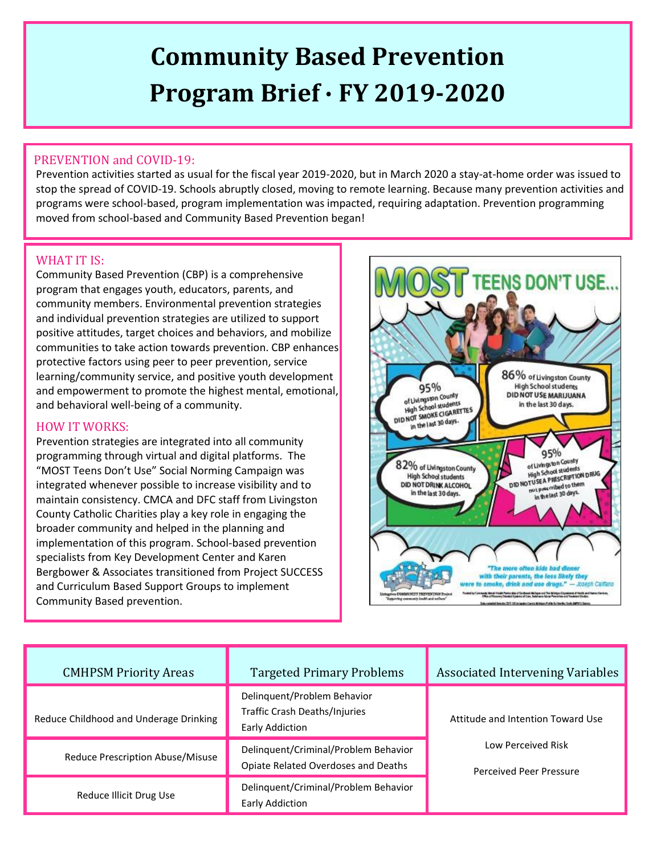# **Community Based Prevention Program Brief ∙ FY 2019-2020**

## PREVENTION and COVID-19:

Prevention activities started as usual for the fiscal year 2019-2020, but in March 2020 a stay-at-home order was issued to stop the spread of COVID-19. Schools abruptly closed, moving to remote learning. Because many prevention activities and programs were school-based, program implementation was impacted, requiring adaptation. Prevention programming moved from school-based and Community Based Prevention began!

#### WHAT IT IS:

Community Based Prevention (CBP) is a comprehensive program that engages youth, educators, parents, and community members. Environmental prevention strategies and individual prevention strategies are utilized to support positive attitudes, target choices and behaviors, and mobilize communities to take action towards prevention. CBP enhances protective factors using peer to peer prevention, service learning/community service, and positive youth development and empowerment to promote the highest mental, emotional, and behavioral well-being of a community.

#### HOW IT WORKS:

Prevention strategies are integrated into all community programming through virtual and digital platforms. The "MOST Teens Don't Use" Social Norming Campaign was integrated whenever possible to increase visibility and to maintain consistency. CMCA and DFC staff from Livingston County Catholic Charities play a key role in engaging the broader community and helped in the planning and implementation of this program. School-based prevention specialists from Key Development Center and Karen Bergbower & Associates transitioned from Project SUCCESS and Curriculum Based Support Groups to implement Community Based prevention.



| <b>CMHPSM Priority Areas</b>           | <b>Targeted Primary Problems</b>                                                | <b>Associated Intervening Variables</b>              |
|----------------------------------------|---------------------------------------------------------------------------------|------------------------------------------------------|
| Reduce Childhood and Underage Drinking | Delinquent/Problem Behavior<br>Traffic Crash Deaths/Injuries<br>Early Addiction | Attitude and Intention Toward Use                    |
| Reduce Prescription Abuse/Misuse       | Delinquent/Criminal/Problem Behavior<br>Opiate Related Overdoses and Deaths     | Low Perceived Risk<br><b>Perceived Peer Pressure</b> |
| Reduce Illicit Drug Use                | Delinquent/Criminal/Problem Behavior<br>Early Addiction                         |                                                      |